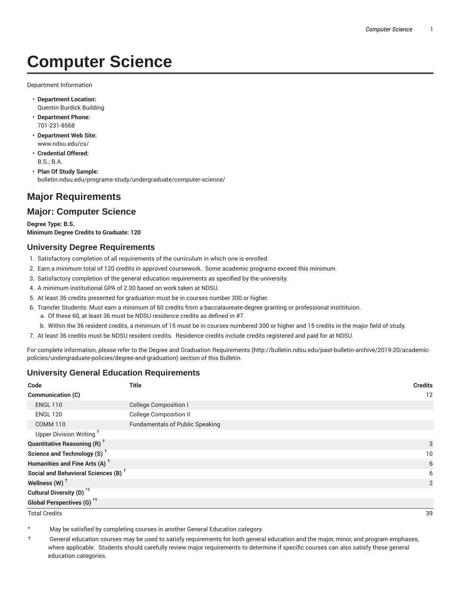# **Computer Science**

Department Information

- **Department Location:** Quentin Burdick Building
- **Department Phone:** 701-231-8568
- **Department Web Site:** www.ndsu.edu/cs/
- **Credential Offered:** B.S.; B.A.
- **Plan Of Study Sample:** bulletin.ndsu.edu/programs-study/undergraduate/computer-science/

# **Major Requirements**

# **Major: Computer Science**

**Degree Type: B.S. Minimum Degree Credits to Graduate: 120**

#### **University Degree Requirements**

- 1. Satisfactory completion of all requirements of the curriculum in which one is enrolled.
- 2. Earn a minimum total of 120 credits in approved coursework. Some academic programs exceed this minimum.
- 3. Satisfactory completion of the general education requirements as specified by the university.
- 4. A minimum institutional GPA of 2.00 based on work taken at NDSU.
- 5. At least 36 credits presented for graduation must be in courses number 300 or higher.
- 6. Transfer Students: Must earn a minimum of 60 credits from a baccalaureate-degree granting or professional institituion.
	- a. Of these 60, at least 36 must be NDSU residence credits as defined in #7.
	- b. Within the 36 resident credits, a minimum of 15 must be in courses numbered 300 or higher and 15 credits in the major field of study.
- 7. At least 36 credits must be NDSU resident credits. Residence credits include credits registered and paid for at NDSU.

For complete information, please refer to the Degree and Graduation Requirements (http://bulletin.ndsu.edu/past-bulletin-archive/2019-20/academicpolicies/undergraduate-policies/degree-and-graduation) section of this Bulletin.

#### **University General Education Requirements**

| Code                                            | <b>Title</b>                           | <b>Credits</b> |
|-------------------------------------------------|----------------------------------------|----------------|
| Communication (C)                               |                                        | 12             |
| <b>ENGL 110</b>                                 | <b>College Composition I</b>           |                |
| <b>ENGL 120</b>                                 | <b>College Composition II</b>          |                |
| <b>COMM 110</b>                                 | <b>Fundamentals of Public Speaking</b> |                |
| Upper Division Writing <sup>+</sup>             |                                        |                |
| <b>Quantitative Reasoning (R)</b> <sup>†</sup>  |                                        | 3              |
| Science and Technology (S) <sup>+</sup>         |                                        | 10             |
| Humanities and Fine Arts (A) <sup>+</sup>       |                                        | 6              |
| Social and Behavioral Sciences (B) <sup>+</sup> |                                        | 6              |
| Wellness $(W)$ <sup>+</sup>                     |                                        | 2              |
| Cultural Diversity (D) <sup>*†</sup>            |                                        |                |
| <b>Global Perspectives (G)<sup>*†</sup></b>     |                                        |                |

Total Credits 39

May be satisfied by completing courses in another General Education category.

† General education courses may be used to satisfy requirements for both general education and the major, minor, and program emphases, where applicable. Students should carefully review major requirements to determine if specific courses can also satisfy these general education categories.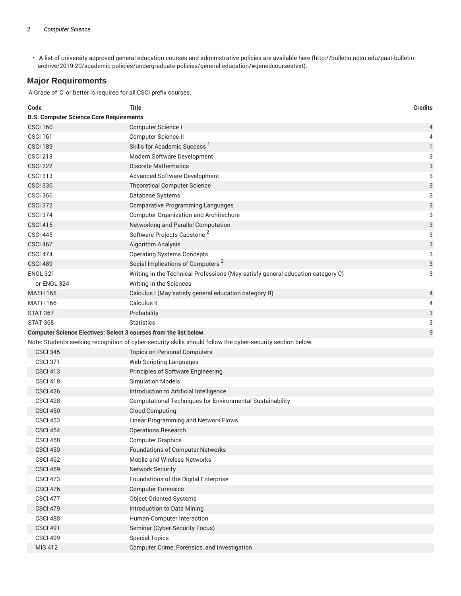• A list of university approved general education courses and administrative policies are available here (http://bulletin.ndsu.edu/past-bulletinarchive/2019-20/academic-policies/undergraduate-policies/general-education/#genedcoursestext).

# **Major Requirements**

A Grade of 'C' or better is required for all CSCI prefix courses.

| Code                                                              | Title                                                                                                       | <b>Credits</b> |
|-------------------------------------------------------------------|-------------------------------------------------------------------------------------------------------------|----------------|
| <b>B.S. Computer Science Core Requirements</b>                    |                                                                                                             |                |
| <b>CSCI 160</b>                                                   | Computer Science I                                                                                          | 4              |
| <b>CSCI 161</b>                                                   | Computer Science II                                                                                         | 4              |
| <b>CSCI 189</b>                                                   | Skills for Academic Success <sup>1</sup>                                                                    | $\mathbf{1}$   |
| <b>CSCI 213</b>                                                   | Modern Software Development                                                                                 | 3              |
| <b>CSCI 222</b>                                                   | <b>Discrete Mathematics</b>                                                                                 | 3              |
| <b>CSCI 313</b>                                                   | Advanced Software Development                                                                               | 3              |
| <b>CSCI 336</b>                                                   | <b>Theoretical Computer Science</b>                                                                         | 3              |
| <b>CSCI 366</b>                                                   | Database Systems                                                                                            | 3              |
| <b>CSCI 372</b>                                                   | <b>Comparative Programming Languages</b>                                                                    | 3              |
| <b>CSCI 374</b>                                                   | <b>Computer Organization and Architechure</b>                                                               | 3              |
| <b>CSCI 415</b>                                                   | Networking and Parallel Computation                                                                         | 3              |
| <b>CSCI 445</b>                                                   | Software Projects Capstone <sup>2</sup>                                                                     | 3              |
| CSCI 467                                                          | Algorithm Analysis                                                                                          | 3              |
| <b>CSCI 474</b>                                                   | <b>Operating Systems Concepts</b>                                                                           | 3              |
| <b>CSCI 489</b>                                                   | Social Implications of Computers <sup>2</sup>                                                               | 3              |
| <b>ENGL 321</b>                                                   | Writing in the Technical Professions (May satisfy general education category C)                             | 3              |
| or ENGL 324                                                       | Writing in the Sciences                                                                                     |                |
| <b>MATH 165</b>                                                   | Calculus I (May satisfy general education category R)                                                       | 4              |
| <b>MATH 166</b>                                                   | Calculus II                                                                                                 | 4              |
| <b>STAT 367</b>                                                   | Probability                                                                                                 | 3              |
| <b>STAT 368</b>                                                   | <b>Statistics</b>                                                                                           | 3              |
| Computer Science Electives: Select 3 courses from the list below. |                                                                                                             | 9              |
|                                                                   | Note: Students seeking recognition of cyber-security skills should follow the cyber-security section below. |                |
| <b>CSCI 345</b>                                                   | <b>Topics on Personal Computers</b>                                                                         |                |
| <b>CSCI 371</b>                                                   | Web Scripting Languages                                                                                     |                |
| <b>CSCI 413</b>                                                   | Principles of Software Engineering                                                                          |                |
| <b>CSCI 418</b>                                                   | <b>Simulation Models</b>                                                                                    |                |
| <b>CSCI 426</b>                                                   | Introduction to Artificial Intelligence                                                                     |                |
| CSCI <sub>428</sub>                                               | Computational Techniques for Environmental Sustainability                                                   |                |
| CSCI <sub>450</sub>                                               | <b>Cloud Computing</b>                                                                                      |                |
| <b>CSCI 453</b>                                                   | Linear Programming and Network Flows                                                                        |                |
| <b>CSCI 454</b>                                                   | <b>Operations Research</b>                                                                                  |                |
| <b>CSCI 458</b>                                                   | <b>Computer Graphics</b>                                                                                    |                |
| <b>CSCI 459</b>                                                   | <b>Foundations of Computer Networks</b>                                                                     |                |
| <b>CSCI 462</b>                                                   | Mobile and Wireless Networks                                                                                |                |
| <b>CSCI 469</b>                                                   | <b>Network Security</b>                                                                                     |                |
| <b>CSCI 473</b>                                                   | Foundations of the Digital Enterprise                                                                       |                |
| <b>CSCI 476</b>                                                   | <b>Computer Forensics</b>                                                                                   |                |
| <b>CSCI 477</b>                                                   | Object-Oriented Systems                                                                                     |                |
| <b>CSCI 479</b>                                                   | Introduction to Data Mining                                                                                 |                |
| CSCI 488                                                          | Human-Computer Interaction                                                                                  |                |
| <b>CSCI 491</b>                                                   | Seminar (Cyber-Security Focus)                                                                              |                |
| <b>CSCI 499</b>                                                   | <b>Special Topics</b>                                                                                       |                |
| MIS 412                                                           | Computer Crime, Forensics, and Investigation                                                                |                |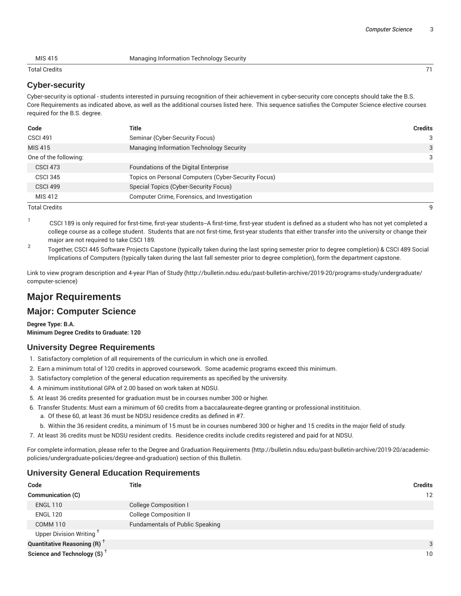MIS 415 Managing Information Technology Security

Total Credits 71

#### **Cyber-security**

Cyber-security is optional - students interested in pursuing recognition of their achievement in cyber-security core concepts should take the B.S. Core Requirements as indicated above, as well as the additional courses listed here. This sequence satisfies the Computer Science elective courses required for the B.S. degree.

| Code                  | Title                                               | <b>Credits</b> |
|-----------------------|-----------------------------------------------------|----------------|
| <b>CSCI 491</b>       | Seminar (Cyber-Security Focus)                      | 3              |
| MIS 415               | Managing Information Technology Security            | 3              |
| One of the following: |                                                     | 3              |
| <b>CSCI 473</b>       | Foundations of the Digital Enterprise               |                |
| <b>CSCI 345</b>       | Topics on Personal Computers (Cyber-Security Focus) |                |
| <b>CSCI 499</b>       | Special Topics (Cyber-Security Focus)               |                |
| MIS 412               | Computer Crime, Forensics, and Investigation        |                |

Total Credits 9

- 1 CSCI 189 is only required for first-time, first-year students--A first-time, first-year student is defined as a student who has not yet completed a college course as a college student. Students that are not first-time, first-year students that either transfer into the university or change their major are not required to take CSCI 189.
- 2 Together, CSCI 445 Software Projects Capstone (typically taken during the last spring semester prior to degree completion) & CSCI 489 Social Implications of Computers (typically taken during the last fall semester prior to degree completion), form the department capstone.

Link to view program description and 4-year Plan of Study (http://bulletin.ndsu.edu/past-bulletin-archive/2019-20/programs-study/undergraduate/ computer-science)

# **Major Requirements**

# **Major: Computer Science**

**Degree Type: B.A. Minimum Degree Credits to Graduate: 120**

#### **University Degree Requirements**

- 1. Satisfactory completion of all requirements of the curriculum in which one is enrolled.
- 2. Earn a minimum total of 120 credits in approved coursework. Some academic programs exceed this minimum.
- 3. Satisfactory completion of the general education requirements as specified by the university.
- 4. A minimum institutional GPA of 2.00 based on work taken at NDSU.
- 5. At least 36 credits presented for graduation must be in courses number 300 or higher.
- 6. Transfer Students: Must earn a minimum of 60 credits from a baccalaureate-degree granting or professional institituion.
	- a. Of these 60, at least 36 must be NDSU residence credits as defined in #7.
	- b. Within the 36 resident credits, a minimum of 15 must be in courses numbered 300 or higher and 15 credits in the major field of study.
- 7. At least 36 credits must be NDSU resident credits. Residence credits include credits registered and paid for at NDSU.

For complete information, please refer to the Degree and Graduation Requirements (http://bulletin.ndsu.edu/past-bulletin-archive/2019-20/academicpolicies/undergraduate-policies/degree-and-graduation) section of this Bulletin.

### **University General Education Requirements**

| Code                                           | <b>Title</b>                           | <b>Credits</b> |
|------------------------------------------------|----------------------------------------|----------------|
| <b>Communication (C)</b>                       |                                        | 12             |
| <b>ENGL 110</b>                                | <b>College Composition I</b>           |                |
| <b>ENGL 120</b>                                | <b>College Composition II</b>          |                |
| COMM <sub>110</sub>                            | <b>Fundamentals of Public Speaking</b> |                |
| Upper Division Writing <sup>T</sup>            |                                        |                |
| <b>Quantitative Reasoning (R)</b> <sup>†</sup> |                                        | 3              |
| Science and Technology (S) <sup>+</sup>        |                                        | 10             |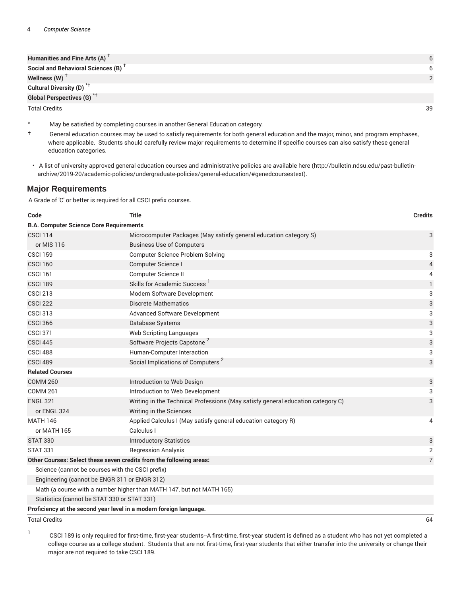| Humanities and Fine Arts (A) $T$                |  |
|-------------------------------------------------|--|
| Social and Behavioral Sciences (B) <sup>T</sup> |  |
| Wellness $(W)$ <sup>T</sup>                     |  |
| Cultural Diversity (D) <sup>*†</sup>            |  |
| Global Perspectives (G) <sup>*†</sup>           |  |

Total Credits 39

- May be satisfied by completing courses in another General Education category.
- † General education courses may be used to satisfy requirements for both general education and the major, minor, and program emphases, where applicable. Students should carefully review major requirements to determine if specific courses can also satisfy these general education categories.
- A list of university approved general education courses and administrative policies are available here (http://bulletin.ndsu.edu/past-bulletinarchive/2019-20/academic-policies/undergraduate-policies/general-education/#genedcoursestext).

#### **Major Requirements**

A Grade of 'C' or better is required for all CSCI prefix courses.

| Code                                                                | <b>Title</b>                                                                    | <b>Credits</b>            |
|---------------------------------------------------------------------|---------------------------------------------------------------------------------|---------------------------|
| <b>B.A. Computer Science Core Requirements</b>                      |                                                                                 |                           |
| <b>CSCI 114</b>                                                     | Microcomputer Packages (May satisfy general education category S)               | 3                         |
| or MIS 116                                                          | <b>Business Use of Computers</b>                                                |                           |
| <b>CSCI 159</b>                                                     | <b>Computer Science Problem Solving</b>                                         | 3                         |
| <b>CSCI 160</b>                                                     | Computer Science I                                                              | $\sqrt{4}$                |
| <b>CSCI 161</b>                                                     | Computer Science II                                                             | 4                         |
| CSCI 189                                                            | Skills for Academic Success <sup>1</sup>                                        | $\mathbf{1}$              |
| <b>CSCI 213</b>                                                     | Modern Software Development                                                     | 3                         |
| <b>CSCI 222</b>                                                     | <b>Discrete Mathematics</b>                                                     | $\ensuremath{\mathsf{3}}$ |
| <b>CSCI 313</b>                                                     | <b>Advanced Software Development</b>                                            | 3                         |
| <b>CSCI 366</b>                                                     | Database Systems                                                                | $\ensuremath{\mathsf{3}}$ |
| <b>CSCI 371</b>                                                     | <b>Web Scripting Languages</b>                                                  | 3                         |
| <b>CSCI 445</b>                                                     | Software Projects Capstone <sup>2</sup>                                         | 3                         |
| CSCI 488                                                            | Human-Computer Interaction                                                      | 3                         |
| CSCI 489                                                            | Social Implications of Computers <sup>2</sup>                                   | 3                         |
| <b>Related Courses</b>                                              |                                                                                 |                           |
| <b>COMM 260</b>                                                     | Introduction to Web Design                                                      | 3                         |
| <b>COMM 261</b>                                                     | Introduction to Web Development                                                 | 3                         |
| <b>ENGL 321</b>                                                     | Writing in the Technical Professions (May satisfy general education category C) | 3                         |
| or ENGL 324                                                         | Writing in the Sciences                                                         |                           |
| <b>MATH 146</b>                                                     | Applied Calculus I (May satisfy general education category R)                   | 4                         |
| or MATH 165                                                         | Calculus I                                                                      |                           |
| <b>STAT 330</b>                                                     | <b>Introductory Statistics</b>                                                  | 3                         |
| <b>STAT 331</b>                                                     | <b>Regression Analysis</b>                                                      | $\overline{2}$            |
| Other Courses: Select these seven credits from the following areas: |                                                                                 | $\overline{7}$            |
| Science (cannot be courses with the CSCI prefix)                    |                                                                                 |                           |
| Engineering (cannot be ENGR 311 or ENGR 312)                        |                                                                                 |                           |
|                                                                     | Math (a course with a number higher than MATH 147, but not MATH 165)            |                           |
| Statistics (cannot be STAT 330 or STAT 331)                         |                                                                                 |                           |
| Proficiency at the second year level in a modern foreign language.  |                                                                                 |                           |

Total Credits 64

1

CSCI 189 is only required for first-time, first-year students--A first-time, first-year student is defined as a student who has not yet completed a college course as a college student. Students that are not first-time, first-year students that either transfer into the university or change their major are not required to take CSCI 189.